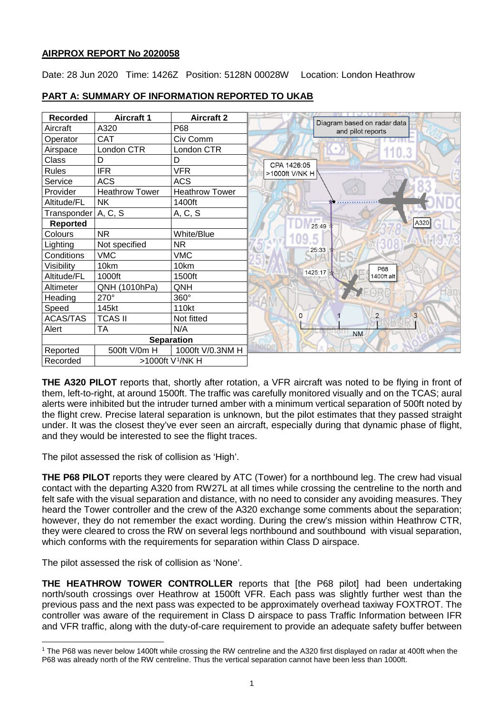## **AIRPROX REPORT No 2020058**

Date: 28 Jun 2020 Time: 1426Z Position: 5128N 00028W Location: London Heathrow

| <b>Recorded</b> | <b>Aircraft 1</b>            | <b>Aircraft 2</b>     |                                                  |
|-----------------|------------------------------|-----------------------|--------------------------------------------------|
| Aircraft        | A320                         | P68                   | Diagram based on radar data<br>and pilot reports |
| Operator        | <b>CAT</b>                   | Civ Comm              |                                                  |
| Airspace        | London CTR                   | London CTR            |                                                  |
| Class           | D                            | D                     | CPA 1426:05                                      |
| <b>Rules</b>    | <b>IFR</b>                   | <b>VFR</b>            | >1000ft V/NK H                                   |
| Service         | <b>ACS</b>                   | <b>ACS</b>            |                                                  |
| Provider        | <b>Heathrow Tower</b>        | <b>Heathrow Tower</b> |                                                  |
| Altitude/FL     | <b>NK</b>                    | 1400ft                |                                                  |
| Transponder     | A, C, S                      | A, C, S               |                                                  |
| <b>Reported</b> |                              |                       | A320<br>25:49                                    |
| Colours         | <b>NR</b>                    | White/Blue            |                                                  |
| Lighting        | Not specified                | <b>NR</b>             | 25:33                                            |
| Conditions      | <b>VMC</b>                   | <b>VMC</b>            |                                                  |
| Visibility      | 10km                         | 10km                  | P68                                              |
| Altitude/FL     | 1000ft                       | 1500ft                | 1425:17<br>1400ft alt                            |
| Altimeter       | QNH (1010hPa)                | QNH                   |                                                  |
| Heading         | 270°                         | 360°                  |                                                  |
| Speed           | 145kt                        | 110kt                 |                                                  |
| <b>ACAS/TAS</b> | <b>TCAS II</b>               | Not fitted            | $\overline{2}$<br>0<br>3                         |
| Alert           | <b>TA</b>                    | N/A                   | <b>NM</b>                                        |
|                 |                              | <b>Separation</b>     |                                                  |
| Reported        | 500ft V/0m H                 | 1000ft V/0.3NM H      |                                                  |
| Recorded        | >1000ft V <sup>1</sup> /NK H |                       |                                                  |

# **PART A: SUMMARY OF INFORMATION REPORTED TO UKAB**

**THE A320 PILOT** reports that, shortly after rotation, a VFR aircraft was noted to be flying in front of them, left-to-right, at around 1500ft. The traffic was carefully monitored visually and on the TCAS; aural alerts were inhibited but the intruder turned amber with a minimum vertical separation of 500ft noted by the flight crew. Precise lateral separation is unknown, but the pilot estimates that they passed straight under. It was the closest they've ever seen an aircraft, especially during that dynamic phase of flight, and they would be interested to see the flight traces.

The pilot assessed the risk of collision as 'High'.

**THE P68 PILOT** reports they were cleared by ATC (Tower) for a northbound leg. The crew had visual contact with the departing A320 from RW27L at all times while crossing the centreline to the north and felt safe with the visual separation and distance, with no need to consider any avoiding measures. They heard the Tower controller and the crew of the A320 exchange some comments about the separation; however, they do not remember the exact wording. During the crew's mission within Heathrow CTR, they were cleared to cross the RW on several legs northbound and southbound with visual separation, which conforms with the requirements for separation within Class D airspace.

The pilot assessed the risk of collision as 'None'.

**THE HEATHROW TOWER CONTROLLER** reports that [the P68 pilot] had been undertaking north/south crossings over Heathrow at 1500ft VFR. Each pass was slightly further west than the previous pass and the next pass was expected to be approximately overhead taxiway FOXTROT. The controller was aware of the requirement in Class D airspace to pass Traffic Information between IFR and VFR traffic, along with the duty-of-care requirement to provide an adequate safety buffer between

<span id="page-0-0"></span> $\overline{\phantom{a}}$ <sup>1</sup> The P68 was never below 1400ft while crossing the RW centreline and the A320 first displayed on radar at 400ft when the P68 was already north of the RW centreline. Thus the vertical separation cannot have been less than 1000ft.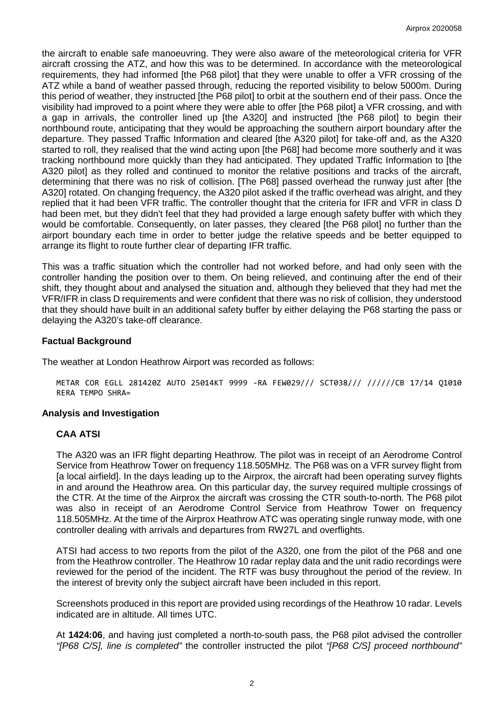the aircraft to enable safe manoeuvring. They were also aware of the meteorological criteria for VFR aircraft crossing the ATZ, and how this was to be determined. In accordance with the meteorological requirements, they had informed [the P68 pilot] that they were unable to offer a VFR crossing of the ATZ while a band of weather passed through, reducing the reported visibility to below 5000m. During this period of weather, they instructed [the P68 pilot] to orbit at the southern end of their pass. Once the visibility had improved to a point where they were able to offer [the P68 pilot] a VFR crossing, and with a gap in arrivals, the controller lined up [the A320] and instructed [the P68 pilot] to begin their northbound route, anticipating that they would be approaching the southern airport boundary after the departure. They passed Traffic Information and cleared [the A320 pilot] for take-off and, as the A320 started to roll, they realised that the wind acting upon [the P68] had become more southerly and it was tracking northbound more quickly than they had anticipated. They updated Traffic Information to [the A320 pilot] as they rolled and continued to monitor the relative positions and tracks of the aircraft, determining that there was no risk of collision. [The P68] passed overhead the runway just after [the A320] rotated. On changing frequency, the A320 pilot asked if the traffic overhead was alright, and they replied that it had been VFR traffic. The controller thought that the criteria for IFR and VFR in class D had been met, but they didn't feel that they had provided a large enough safety buffer with which they would be comfortable. Consequently, on later passes, they cleared [the P68 pilot] no further than the airport boundary each time in order to better judge the relative speeds and be better equipped to arrange its flight to route further clear of departing IFR traffic.

This was a traffic situation which the controller had not worked before, and had only seen with the controller handing the position over to them. On being relieved, and continuing after the end of their shift, they thought about and analysed the situation and, although they believed that they had met the VFR/IFR in class D requirements and were confident that there was no risk of collision, they understood that they should have built in an additional safety buffer by either delaying the P68 starting the pass or delaying the A320's take-off clearance.

## **Factual Background**

The weather at London Heathrow Airport was recorded as follows:

METAR COR EGLL 281420Z AUTO 25014KT 9999 -RA FEW029/// SCT038/// //////CB 17/14 Q1010 RERA TEMPO SHRA=

### **Analysis and Investigation**

## **CAA ATSI**

The A320 was an IFR flight departing Heathrow. The pilot was in receipt of an Aerodrome Control Service from Heathrow Tower on frequency 118.505MHz. The P68 was on a VFR survey flight from [a local airfield]. In the days leading up to the Airprox, the aircraft had been operating survey flights in and around the Heathrow area. On this particular day, the survey required multiple crossings of the CTR. At the time of the Airprox the aircraft was crossing the CTR south-to-north. The P68 pilot was also in receipt of an Aerodrome Control Service from Heathrow Tower on frequency 118.505MHz. At the time of the Airprox Heathrow ATC was operating single runway mode, with one controller dealing with arrivals and departures from RW27L and overflights.

ATSI had access to two reports from the pilot of the A320, one from the pilot of the P68 and one from the Heathrow controller. The Heathrow 10 radar replay data and the unit radio recordings were reviewed for the period of the incident. The RTF was busy throughout the period of the review. In the interest of brevity only the subject aircraft have been included in this report.

Screenshots produced in this report are provided using recordings of the Heathrow 10 radar. Levels indicated are in altitude. All times UTC.

At **1424:06**, and having just completed a north-to-south pass, the P68 pilot advised the controller *"[P68 C/S], line is completed"* the controller instructed the pilot *"[P68 C/S] proceed northbound"*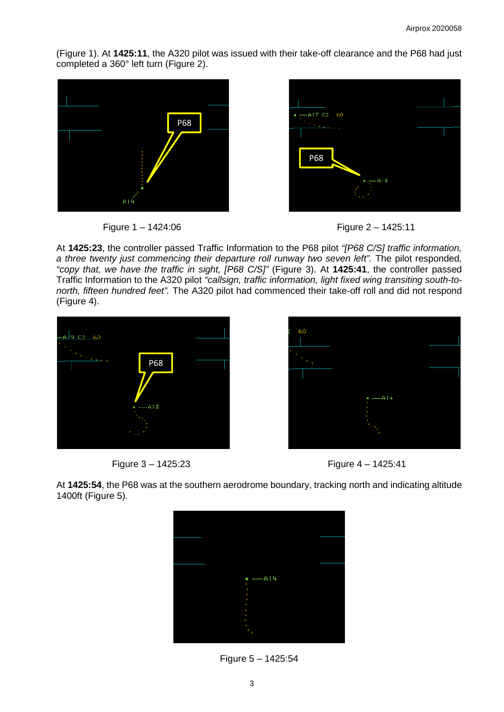(Figure 1). At **1425:11**, the A320 pilot was issued with their take-off clearance and the P68 had just completed a 360° left turn (Figure 2).







At **1425:23**, the controller passed Traffic Information to the P68 pilot *"[P68 C/S] traffic information, a three twenty just commencing their departure roll runway two seven left".* The pilot responded*, "copy that, we have the traffic in sight, [P68 C/S]"* (Figure 3). At **1425:41**, the controller passed Traffic Information to the A320 pilot *"callsign, traffic information, light fixed wing transiting south-tonorth, fifteen hundred feet".* The A320 pilot had commenced their take-off roll and did not respond (Figure 4).









At **1425:54**, the P68 was at the southern aerodrome boundary, tracking north and indicating altitude 1400ft (Figure 5).



Figure 5 – 1425:54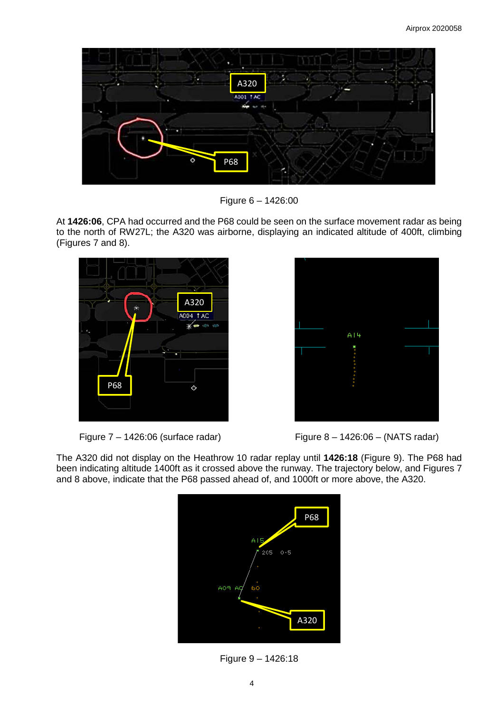

Figure 6 – 1426:00

At **1426:06**, CPA had occurred and the P68 could be seen on the surface movement radar as being to the north of RW27L; the A320 was airborne, displaying an indicated altitude of 400ft, climbing (Figures 7 and 8).





Figure 7 – 1426:06 (surface radar) Figure 8 – 1426:06 – (NATS radar)

The A320 did not display on the Heathrow 10 radar replay until **1426:18** (Figure 9). The P68 had been indicating altitude 1400ft as it crossed above the runway. The trajectory below, and Figures 7 and 8 above, indicate that the P68 passed ahead of, and 1000ft or more above, the A320.



Figure 9 – 1426:18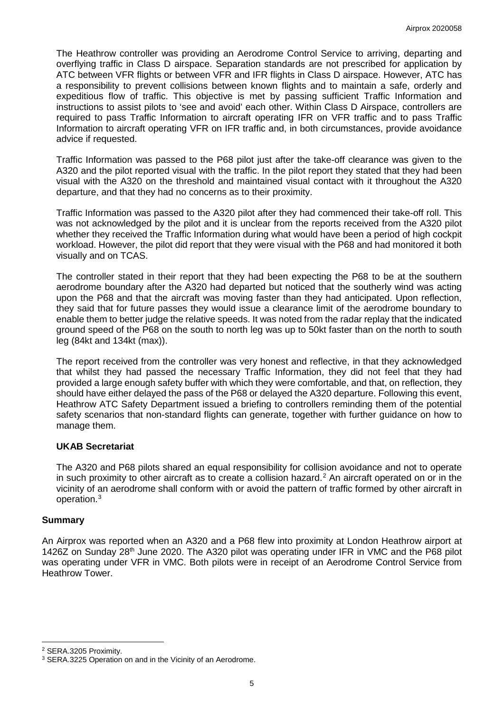The Heathrow controller was providing an Aerodrome Control Service to arriving, departing and overflying traffic in Class D airspace. Separation standards are not prescribed for application by ATC between VFR flights or between VFR and IFR flights in Class D airspace. However, ATC has a responsibility to prevent collisions between known flights and to maintain a safe, orderly and expeditious flow of traffic. This objective is met by passing sufficient Traffic Information and instructions to assist pilots to 'see and avoid' each other. Within Class D Airspace, controllers are required to pass Traffic Information to aircraft operating IFR on VFR traffic and to pass Traffic Information to aircraft operating VFR on IFR traffic and, in both circumstances, provide avoidance advice if requested.

Traffic Information was passed to the P68 pilot just after the take-off clearance was given to the A320 and the pilot reported visual with the traffic. In the pilot report they stated that they had been visual with the A320 on the threshold and maintained visual contact with it throughout the A320 departure, and that they had no concerns as to their proximity.

Traffic Information was passed to the A320 pilot after they had commenced their take-off roll. This was not acknowledged by the pilot and it is unclear from the reports received from the A320 pilot whether they received the Traffic Information during what would have been a period of high cockpit workload. However, the pilot did report that they were visual with the P68 and had monitored it both visually and on TCAS.

The controller stated in their report that they had been expecting the P68 to be at the southern aerodrome boundary after the A320 had departed but noticed that the southerly wind was acting upon the P68 and that the aircraft was moving faster than they had anticipated. Upon reflection, they said that for future passes they would issue a clearance limit of the aerodrome boundary to enable them to better judge the relative speeds. It was noted from the radar replay that the indicated ground speed of the P68 on the south to north leg was up to 50kt faster than on the north to south leg (84kt and 134kt (max)).

The report received from the controller was very honest and reflective, in that they acknowledged that whilst they had passed the necessary Traffic Information, they did not feel that they had provided a large enough safety buffer with which they were comfortable, and that, on reflection, they should have either delayed the pass of the P68 or delayed the A320 departure. Following this event, Heathrow ATC Safety Department issued a briefing to controllers reminding them of the potential safety scenarios that non-standard flights can generate, together with further guidance on how to manage them.

## **UKAB Secretariat**

The A320 and P68 pilots shared an equal responsibility for collision avoidance and not to operate in such proximity to other aircraft as to create a collision hazard.<sup>[2](#page-4-0)</sup> An aircraft operated on or in the vicinity of an aerodrome shall conform with or avoid the pattern of traffic formed by other aircraft in operation. [3](#page-4-1)

## **Summary**

An Airprox was reported when an A320 and a P68 flew into proximity at London Heathrow airport at 1426Z on Sunday 28<sup>th</sup> June 2020. The A320 pilot was operating under IFR in VMC and the P68 pilot was operating under VFR in VMC. Both pilots were in receipt of an Aerodrome Control Service from Heathrow Tower.

 $\overline{\phantom{a}}$ 

<span id="page-4-0"></span><sup>2</sup> SERA.3205 Proximity.

<span id="page-4-1"></span><sup>&</sup>lt;sup>3</sup> SERA.3225 Operation on and in the Vicinity of an Aerodrome.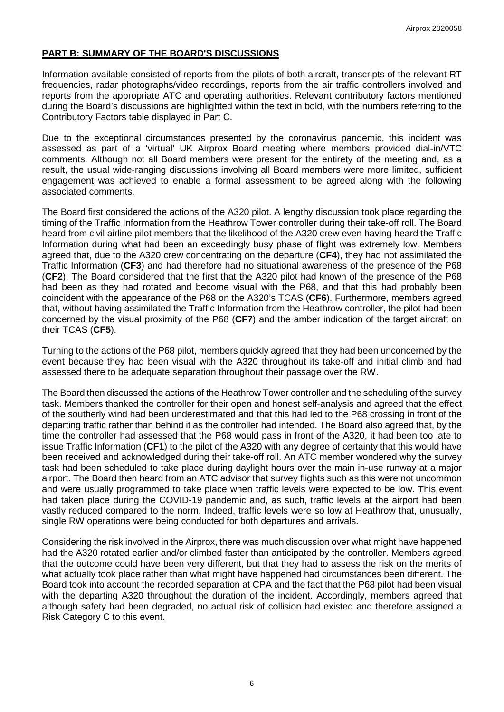## **PART B: SUMMARY OF THE BOARD'S DISCUSSIONS**

Information available consisted of reports from the pilots of both aircraft, transcripts of the relevant RT frequencies, radar photographs/video recordings, reports from the air traffic controllers involved and reports from the appropriate ATC and operating authorities. Relevant contributory factors mentioned during the Board's discussions are highlighted within the text in bold, with the numbers referring to the Contributory Factors table displayed in Part C.

Due to the exceptional circumstances presented by the coronavirus pandemic, this incident was assessed as part of a 'virtual' UK Airprox Board meeting where members provided dial-in/VTC comments. Although not all Board members were present for the entirety of the meeting and, as a result, the usual wide-ranging discussions involving all Board members were more limited, sufficient engagement was achieved to enable a formal assessment to be agreed along with the following associated comments.

The Board first considered the actions of the A320 pilot. A lengthy discussion took place regarding the timing of the Traffic Information from the Heathrow Tower controller during their take-off roll. The Board heard from civil airline pilot members that the likelihood of the A320 crew even having heard the Traffic Information during what had been an exceedingly busy phase of flight was extremely low. Members agreed that, due to the A320 crew concentrating on the departure (**CF4**), they had not assimilated the Traffic Information (**CF3**) and had therefore had no situational awareness of the presence of the P68 (**CF2**). The Board considered that the first that the A320 pilot had known of the presence of the P68 had been as they had rotated and become visual with the P68, and that this had probably been coincident with the appearance of the P68 on the A320's TCAS (**CF6**). Furthermore, members agreed that, without having assimilated the Traffic Information from the Heathrow controller, the pilot had been concerned by the visual proximity of the P68 (**CF7**) and the amber indication of the target aircraft on their TCAS (**CF5**).

Turning to the actions of the P68 pilot, members quickly agreed that they had been unconcerned by the event because they had been visual with the A320 throughout its take-off and initial climb and had assessed there to be adequate separation throughout their passage over the RW.

The Board then discussed the actions of the Heathrow Tower controller and the scheduling of the survey task. Members thanked the controller for their open and honest self-analysis and agreed that the effect of the southerly wind had been underestimated and that this had led to the P68 crossing in front of the departing traffic rather than behind it as the controller had intended. The Board also agreed that, by the time the controller had assessed that the P68 would pass in front of the A320, it had been too late to issue Traffic Information (**CF1**) to the pilot of the A320 with any degree of certainty that this would have been received and acknowledged during their take-off roll. An ATC member wondered why the survey task had been scheduled to take place during daylight hours over the main in-use runway at a major airport. The Board then heard from an ATC advisor that survey flights such as this were not uncommon and were usually programmed to take place when traffic levels were expected to be low. This event had taken place during the COVID-19 pandemic and, as such, traffic levels at the airport had been vastly reduced compared to the norm. Indeed, traffic levels were so low at Heathrow that, unusually, single RW operations were being conducted for both departures and arrivals.

Considering the risk involved in the Airprox, there was much discussion over what might have happened had the A320 rotated earlier and/or climbed faster than anticipated by the controller. Members agreed that the outcome could have been very different, but that they had to assess the risk on the merits of what actually took place rather than what might have happened had circumstances been different. The Board took into account the recorded separation at CPA and the fact that the P68 pilot had been visual with the departing A320 throughout the duration of the incident. Accordingly, members agreed that although safety had been degraded, no actual risk of collision had existed and therefore assigned a Risk Category C to this event.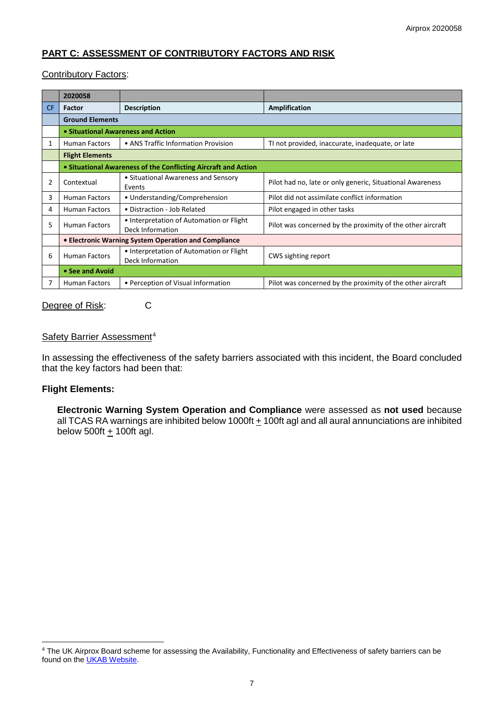# **PART C: ASSESSMENT OF CONTRIBUTORY FACTORS AND RISK**

### Contributory Factors:

|     | 2020058                                                        |                                                              |                                                            |  |  |
|-----|----------------------------------------------------------------|--------------------------------------------------------------|------------------------------------------------------------|--|--|
| CF. | <b>Factor</b>                                                  | <b>Description</b>                                           | Amplification                                              |  |  |
|     | <b>Ground Elements</b>                                         |                                                              |                                                            |  |  |
|     | • Situational Awareness and Action                             |                                                              |                                                            |  |  |
| 1   | <b>Human Factors</b>                                           | • ANS Traffic Information Provision                          | TI not provided, inaccurate, inadequate, or late           |  |  |
|     | <b>Flight Elements</b>                                         |                                                              |                                                            |  |  |
|     | • Situational Awareness of the Conflicting Aircraft and Action |                                                              |                                                            |  |  |
| 2   | Contextual                                                     | • Situational Awareness and Sensory<br>Events                | Pilot had no, late or only generic, Situational Awareness  |  |  |
| 3   | <b>Human Factors</b>                                           | • Understanding/Comprehension                                | Pilot did not assimilate conflict information              |  |  |
| 4   | <b>Human Factors</b>                                           | • Distraction - Job Related                                  | Pilot engaged in other tasks                               |  |  |
| 5   | <b>Human Factors</b>                                           | • Interpretation of Automation or Flight<br>Deck Information | Pilot was concerned by the proximity of the other aircraft |  |  |
|     | • Electronic Warning System Operation and Compliance           |                                                              |                                                            |  |  |
| 6   | <b>Human Factors</b>                                           | • Interpretation of Automation or Flight<br>Deck Information | CWS sighting report                                        |  |  |
|     | • See and Avoid                                                |                                                              |                                                            |  |  |
|     | <b>Human Factors</b>                                           | • Perception of Visual Information                           | Pilot was concerned by the proximity of the other aircraft |  |  |

Degree of Risk: C

### Safety Barrier Assessment<sup>[4](#page-6-0)</sup>

In assessing the effectiveness of the safety barriers associated with this incident, the Board concluded that the key factors had been that:

#### **Flight Elements:**

 $\overline{\phantom{a}}$ 

**Electronic Warning System Operation and Compliance** were assessed as **not used** because all TCAS RA warnings are inhibited below 1000ft + 100ft agl and all aural annunciations are inhibited below 500ft  $\pm$  100ft agl.

<span id="page-6-0"></span><sup>4</sup> The UK Airprox Board scheme for assessing the Availability, Functionality and Effectiveness of safety barriers can be found on the **UKAB Website**.